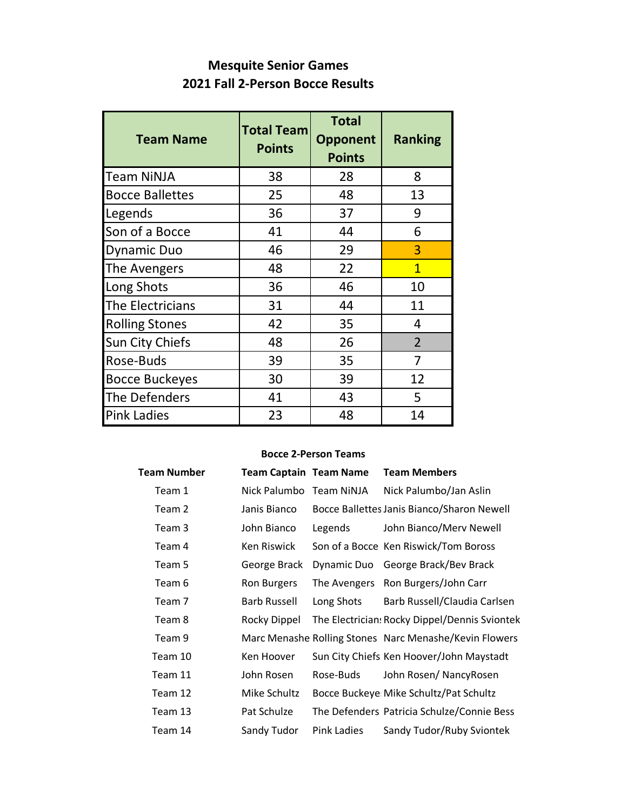### **Mesquite Senior Games 2021 Fall 2-Person Bocce Results**

| <b>Team Name</b>       | <b>Total Team</b><br><b>Points</b> | <b>Total</b><br><b>Opponent</b><br><b>Points</b> | <b>Ranking</b> |  |
|------------------------|------------------------------------|--------------------------------------------------|----------------|--|
| <b>Team NiNJA</b>      | 38                                 | 28                                               | 8              |  |
| <b>Bocce Ballettes</b> | 25                                 | 48                                               | 13             |  |
| Legends                | 36                                 | 37                                               | 9              |  |
| Son of a Bocce         | 41                                 | 44                                               | 6              |  |
| <b>Dynamic Duo</b>     | 46                                 | 29                                               | 3              |  |
| The Avengers           | 48                                 | 22                                               | $\mathbf{1}$   |  |
| Long Shots             | 36                                 | 46                                               | 10             |  |
| The Electricians       | 31                                 | 44                                               | 11             |  |
| <b>Rolling Stones</b>  | 42                                 | 35                                               | 4              |  |
| <b>Sun City Chiefs</b> | 48                                 | 26                                               | $\overline{2}$ |  |
| Rose-Buds              | 39                                 | 35                                               | 7              |  |
| <b>Bocce Buckeyes</b>  | 30                                 | 39                                               | 12             |  |
| The Defenders          | 41                                 | 43                                               | 5              |  |
| <b>Pink Ladies</b>     | 23                                 | 48                                               | 14             |  |

#### **Bocce 2-Person Teams**

| Team Number | <b>Team Captain Team Name</b> |                    | <b>Team Members</b>                                    |
|-------------|-------------------------------|--------------------|--------------------------------------------------------|
| Team 1      | Nick Palumbo Team NiNJA       |                    | Nick Palumbo/Jan Aslin                                 |
| Team 2      | Janis Bianco                  |                    | Bocce Ballettes Janis Bianco/Sharon Newell             |
| Team 3      | John Bianco                   | Legends            | John Bianco/Merv Newell                                |
| Team 4      | Ken Riswick                   |                    | Son of a Bocce Ken Riswick/Tom Boross                  |
| Team 5      | George Brack                  | Dynamic Duo        | George Brack/Bev Brack                                 |
| Team 6      | Ron Burgers                   | The Avengers       | Ron Burgers/John Carr                                  |
| Team 7      | <b>Barb Russell</b>           | Long Shots         | Barb Russell/Claudia Carlsen                           |
| Team 8      | Rocky Dippel                  |                    | The Electrician: Rocky Dippel/Dennis Sviontek          |
| Team 9      |                               |                    | Marc Menashe Rolling Stones Narc Menashe/Kevin Flowers |
| Team 10     | Ken Hoover                    |                    | Sun City Chiefs Ken Hoover/John Maystadt               |
| Team 11     | John Rosen                    | Rose-Buds          | John Rosen/ NancyRosen                                 |
| Team 12     | Mike Schultz                  |                    | Bocce Buckeye: Mike Schultz/Pat Schultz                |
| Team 13     | Pat Schulze                   |                    | The Defenders Patricia Schulze/Connie Bess             |
| Team 14     | Sandy Tudor                   | <b>Pink Ladies</b> | Sandy Tudor/Ruby Sviontek                              |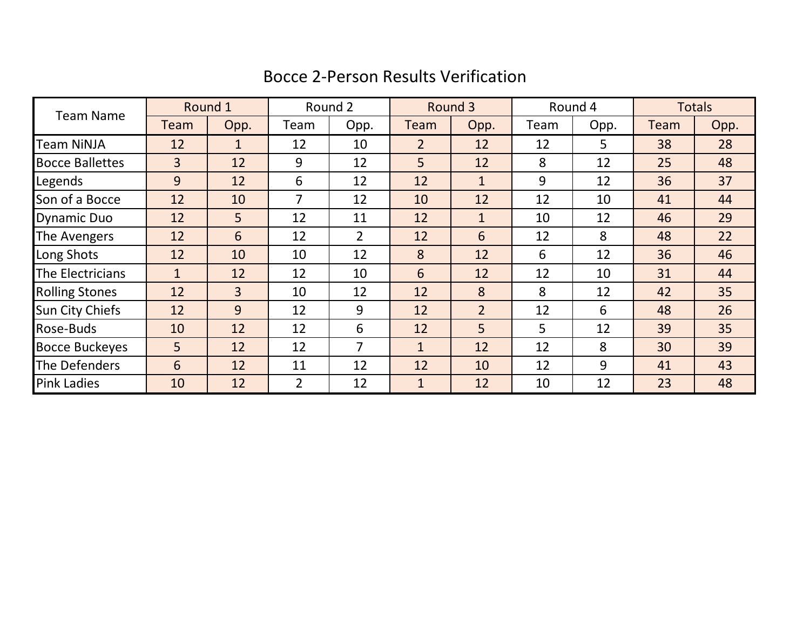## Bocce 2-Person Results Verification

| <b>Team Name</b>       |                | Round 1        | Round 2 |                | Round 3        |                | Round 4 |      | <b>Totals</b> |      |
|------------------------|----------------|----------------|---------|----------------|----------------|----------------|---------|------|---------------|------|
|                        | Team           | Opp.           | Team    | Opp.           | <b>Team</b>    | Opp.           | Team    | Opp. | Team          | Opp. |
| <b>Team NiNJA</b>      | 12             | $\mathbf{1}$   | 12      | 10             | $\overline{2}$ | 12             | 12      | 5    | 38            | 28   |
| <b>Bocce Ballettes</b> | $\overline{3}$ | 12             | 9       | 12             | 5              | 12             | 8       | 12   | 25            | 48   |
| Legends                | 9              | 12             | 6       | 12             | 12             | $\mathbf{1}$   | 9       | 12   | 36            | 37   |
| Son of a Bocce         | 12             | 10             | 7       | 12             | 10             | 12             | 12      | 10   | 41            | 44   |
| <b>Dynamic Duo</b>     | 12             | 5 <sup>1</sup> | 12      | 11             | 12             | $\mathbf{1}$   | 10      | 12   | 46            | 29   |
| The Avengers           | 12             | 6              | 12      | $\overline{2}$ | 12             | 6              | 12      | 8    | 48            | 22   |
| Long Shots             | 12             | 10             | 10      | 12             | 8              | 12             | 6       | 12   | 36            | 46   |
| The Electricians       | $\mathbf{1}$   | 12             | 12      | 10             | 6              | 12             | 12      | 10   | 31            | 44   |
| <b>Rolling Stones</b>  | 12             | $\overline{3}$ | 10      | 12             | 12             | 8              | 8       | 12   | 42            | 35   |
| <b>Sun City Chiefs</b> | 12             | 9              | 12      | 9              | 12             | $\overline{2}$ | 12      | 6    | 48            | 26   |
| Rose-Buds              | 10             | 12             | 12      | 6              | 12             | 5              | 5       | 12   | 39            | 35   |
| <b>Bocce Buckeyes</b>  | 5              | 12             | 12      | $\overline{7}$ | $\mathbf{1}$   | 12             | 12      | 8    | 30            | 39   |
| The Defenders          | 6              | 12             | 11      | 12             | 12             | 10             | 12      | 9    | 41            | 43   |
| <b>Pink Ladies</b>     | 10             | 12             | 2       | 12             | $\mathbf{1}$   | 12             | 10      | 12   | 23            | 48   |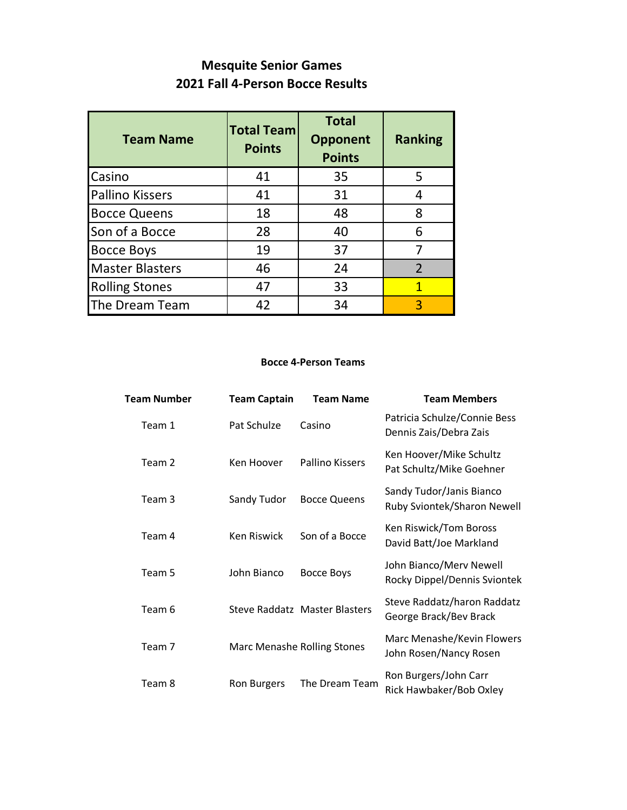## **Mesquite Senior Games 2021 Fall 4-Person Bocce Results**

| <b>Team Name</b>       | <b>Total Team</b><br><b>Points</b> | <b>Total</b><br><b>Opponent</b><br><b>Points</b> | <b>Ranking</b> |  |
|------------------------|------------------------------------|--------------------------------------------------|----------------|--|
| Casino                 | 41                                 | 35                                               | 5              |  |
| <b>Pallino Kissers</b> | 41                                 | 31                                               | 4              |  |
| <b>Bocce Queens</b>    | 18                                 | 48                                               | 8              |  |
| Son of a Bocce         | 28                                 | 40                                               | 6              |  |
| <b>Bocce Boys</b>      | 19                                 | 37                                               | 7              |  |
| <b>Master Blasters</b> | 46                                 | 24                                               | $\overline{2}$ |  |
| <b>Rolling Stones</b>  | 47                                 | 33                                               | 1              |  |
| The Dream Team         | 42                                 | 34                                               | 3              |  |

#### **Bocce 4-Person Teams**

| <b>Team Number</b> | <b>Team Captain</b> | <b>Team Name</b>                   | <b>Team Members</b>                                     |
|--------------------|---------------------|------------------------------------|---------------------------------------------------------|
| Team 1             | Pat Schulze         | Casino                             | Patricia Schulze/Connie Bess<br>Dennis Zais/Debra Zais  |
| Team 2             | Ken Hoover          | Pallino Kissers                    | Ken Hoover/Mike Schultz<br>Pat Schultz/Mike Goehner     |
| Team 3             | Sandy Tudor         | <b>Bocce Queens</b>                | Sandy Tudor/Janis Bianco<br>Ruby Sviontek/Sharon Newell |
| Team 4             | Ken Riswick         | Son of a Bocce                     | Ken Riswick/Tom Boross<br>David Batt/Joe Markland       |
| Team 5             | John Bianco         | <b>Bocce Boys</b>                  | John Bianco/Merv Newell<br>Rocky Dippel/Dennis Sviontek |
| Team 6             |                     | Steve Raddatz Master Blasters      | Steve Raddatz/haron Raddatz<br>George Brack/Bev Brack   |
| Team 7             |                     | <b>Marc Menashe Rolling Stones</b> | Marc Menashe/Kevin Flowers<br>John Rosen/Nancy Rosen    |
| Team 8             | Ron Burgers         | The Dream Team                     | Ron Burgers/John Carr<br>Rick Hawbaker/Bob Oxley        |